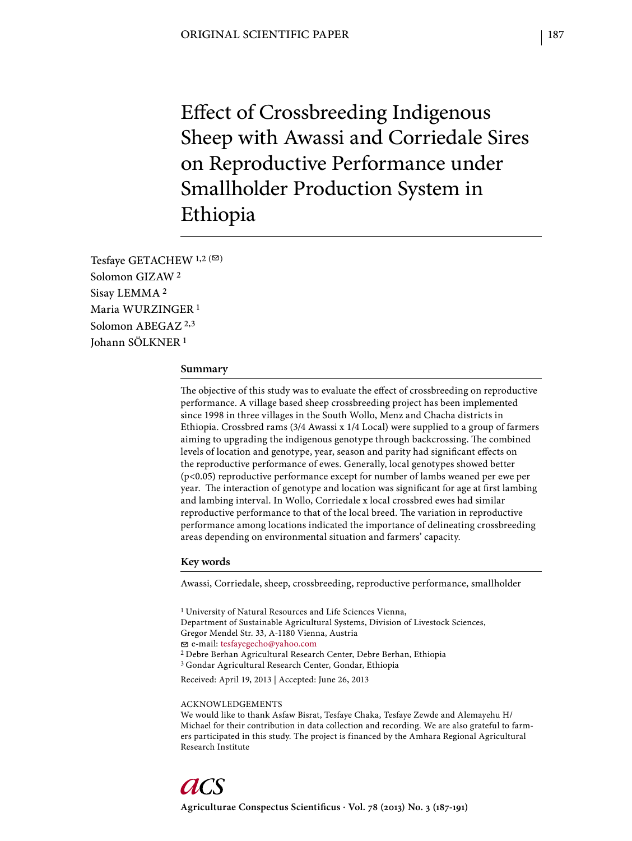Effect of Crossbreeding Indigenous Sheep with Awassi and Corriedale Sires on Reproductive Performance under Smallholder Production System in Ethiopia

Tesfaye GETACHEW 1,2 ( $\textcircled{2}$ ) Solomon GIZAW 2 Sisay LEMMA 2 Maria WURZINGER 1 Solomon ABEGAZ 2,3 Johann SÖLKNER 1

# **Summary**

The objective of this study was to evaluate the effect of crossbreeding on reproductive performance. A village based sheep crossbreeding project has been implemented since 1998 in three villages in the South Wollo, Menz and Chacha districts in Ethiopia. Crossbred rams (3/4 Awassi x 1/4 Local) were supplied to a group of farmers aiming to upgrading the indigenous genotype through backcrossing. The combined levels of location and genotype, year, season and parity had significant effects on the reproductive performance of ewes. Generally, local genotypes showed better (p<0.05) reproductive performance except for number of lambs weaned per ewe per year. The interaction of genotype and location was significant for age at first lambing and lambing interval. In Wollo, Corriedale x local crossbred ewes had similar reproductive performance to that of the local breed. The variation in reproductive performance among locations indicated the importance of delineating crossbreeding areas depending on environmental situation and farmers' capacity.

## **Key words**

Awassi, Corriedale, sheep, crossbreeding, reproductive performance, smallholder

1 University of Natural Resources and Life Sciences Vienna,

Department of Sustainable Agricultural Systems, Division of Livestock Sciences,

Gregor Mendel Str. 33, A-1180 Vienna, Austria

e-mail: tesfayegecho@yahoo.com

2 Debre Berhan Agricultural Research Center, Debre Berhan, Ethiopia

3 Gondar Agricultural Research Center, Gondar, Ethiopia

Received: April 19, 2013 | Accepted: June 26, 2013

## ACKNOWLEDGEMENTS

We would like to thank Asfaw Bisrat, Tesfaye Chaka, Tesfaye Zewde and Alemayehu H/ Michael for their contribution in data collection and recording. We are also grateful to farmers participated in this study. The project is financed by the Amhara Regional Agricultural Research Institute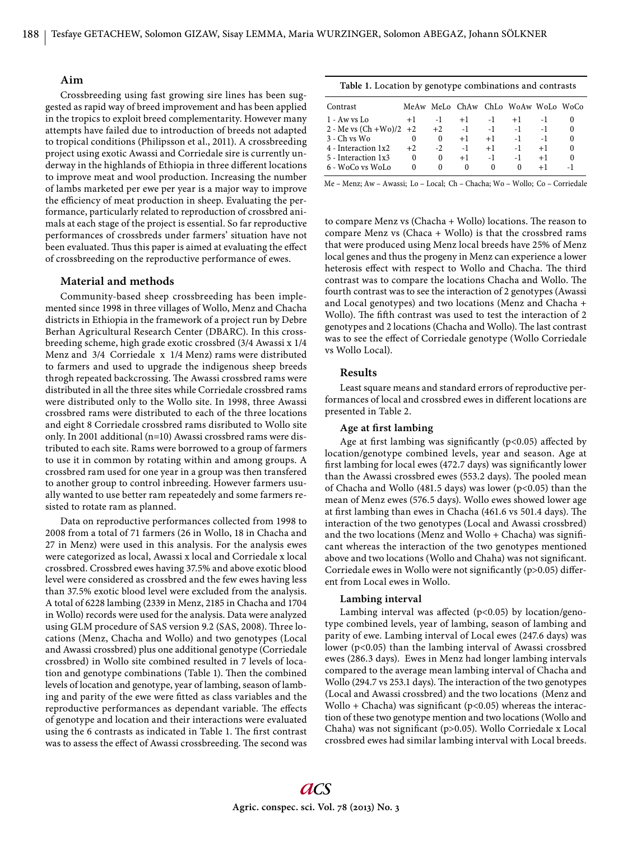# **Aim**

Crossbreeding using fast growing sire lines has been suggested as rapid way of breed improvement and has been applied in the tropics to exploit breed complementarity. However many attempts have failed due to introduction of breeds not adapted to tropical conditions (Philipsson et al., 2011). A crossbreeding project using exotic Awassi and Corriedale sire is currently underway in the highlands of Ethiopia in three different locations to improve meat and wool production. Increasing the number of lambs marketed per ewe per year is a major way to improve the efficiency of meat production in sheep. Evaluating the performance, particularly related to reproduction of crossbred animals at each stage of the project is essential. So far reproductive performances of crossbreds under farmers' situation have not been evaluated. Thus this paper is aimed at evaluating the effect of crossbreeding on the reproductive performance of ewes.

## **Material and methods**

Community-based sheep crossbreeding has been implemented since 1998 in three villages of Wollo, Menz and Chacha districts in Ethiopia in the framework of a project run by Debre Berhan Agricultural Research Center (DBARC). In this crossbreeding scheme, high grade exotic crossbred (3/4 Awassi x 1/4 Menz and 3/4 Corriedale x 1/4 Menz) rams were distributed to farmers and used to upgrade the indigenous sheep breeds throgh repeated backcrossing. The Awassi crossbred rams were distributed in all the three sites while Corriedale crossbred rams were distributed only to the Wollo site. In 1998, three Awassi crossbred rams were distributed to each of the three locations and eight 8 Corriedale crossbred rams disributed to Wollo site only. In 2001 additional (n=10) Awassi crossbred rams were distributed to each site. Rams were borrowed to a group of farmers to use it in common by rotating within and among groups. A crossbred ram used for one year in a group was then transfered to another group to control inbreeding. However farmers usually wanted to use better ram repeatedely and some farmers resisted to rotate ram as planned.

Data on reproductive performances collected from 1998 to 2008 from a total of 71 farmers (26 in Wollo, 18 in Chacha and 27 in Menz) were used in this analysis. For the analysis ewes were categorized as local, Awassi x local and Corriedale x local crossbred. Crossbred ewes having 37.5% and above exotic blood level were considered as crossbred and the few ewes having less than 37.5% exotic blood level were excluded from the analysis. A total of 6228 lambing (2339 in Menz, 2185 in Chacha and 1704 in Wollo) records were used for the analysis. Data were analyzed using GLM procedure of SAS version 9.2 (SAS, 2008). Three locations (Menz, Chacha and Wollo) and two genotypes (Local and Awassi crossbred) plus one additional genotype (Corriedale crossbred) in Wollo site combined resulted in 7 levels of location and genotype combinations (Table 1). Then the combined levels of location and genotype, year of lambing, season of lambing and parity of the ewe were fitted as class variables and the reproductive performances as dependant variable. The effects of genotype and location and their interactions were evaluated using the 6 contrasts as indicated in Table 1. The first contrast was to assess the effect of Awassi crossbreeding. The second was

|  |  |  |  |  | Table 1. Location by genotype combinations and contrasts |  |  |
|--|--|--|--|--|----------------------------------------------------------|--|--|
|--|--|--|--|--|----------------------------------------------------------|--|--|

| Contrast                   |          |          | MeAw MeLo ChAw |      | Chlo WoAw WoLo WoCo |      |          |
|----------------------------|----------|----------|----------------|------|---------------------|------|----------|
| 1 - Aw ys Lo               | $+1$     | -1       | $+1$           | -1   | $+1$                | -1   |          |
| 2 - Me vs $(Ch + Wo)/2 +2$ |          | $+2$     | $-1$           | $-1$ | -1                  | -1   |          |
| $3 - Ch$ vs Wo             | $\Omega$ | $\bf{0}$ | $+1$           | $+1$ | -1                  | -1   | $\Omega$ |
| $4$ - Interaction $1x2$    | $+2$     | $-2$     | -1             | $+1$ | -1                  | $+1$ | $\Omega$ |
| 5 - Interaction 1x3        | $\bf{0}$ | $\bf{0}$ | $+1$           | - 1  | -1                  | $+1$ | $\Omega$ |
| 6 - WoCo vs WoLo           | $\Omega$ | $\Omega$ | $\theta$       | 0    | $^{\circ}$          |      |          |
|                            |          |          |                |      |                     |      |          |

Me – Menz; Aw – Awassi; Lo – Local; Ch – Chacha; Wo – Wollo; Co – Corriedale

to compare Menz vs (Chacha + Wollo) locations. The reason to compare Menz vs (Chaca + Wollo) is that the crossbred rams that were produced using Menz local breeds have 25% of Menz local genes and thus the progeny in Menz can experience a lower heterosis effect with respect to Wollo and Chacha. The third contrast was to compare the locations Chacha and Wollo. The fourth contrast was to see the interaction of 2 genotypes (Awassi and Local genotypes) and two locations (Menz and Chacha + Wollo). The fifth contrast was used to test the interaction of 2 genotypes and 2 locations (Chacha and Wollo). The last contrast was to see the effect of Corriedale genotype (Wollo Corriedale vs Wollo Local).

# **Results**

Least square means and standard errors of reproductive performances of local and crossbred ewes in different locations are presented in Table 2.

## Age at first lambing

Age at first lambing was significantly ( $p$ <0.05) affected by location/genotype combined levels, year and season. Age at first lambing for local ewes (472.7 days) was significantly lower than the Awassi crossbred ewes (553.2 days). The pooled mean of Chacha and Wollo (481.5 days) was lower (p<0.05) than the mean of Menz ewes (576.5 days). Wollo ewes showed lower age at first lambing than ewes in Chacha (461.6 vs 501.4 days). The interaction of the two genotypes (Local and Awassi crossbred) and the two locations (Menz and Wollo  $+$  Chacha) was significant whereas the interaction of the two genotypes mentioned above and two locations (Wollo and Chaha) was not significant. Corriedale ewes in Wollo were not significantly ( $p>0.05$ ) different from Local ewes in Wollo.

#### **Lambing interval**

Lambing interval was affected ( $p$ <0.05) by location/genotype combined levels, year of lambing, season of lambing and parity of ewe. Lambing interval of Local ewes (247.6 days) was lower (p<0.05) than the lambing interval of Awassi crossbred ewes (286.3 days). Ewes in Menz had longer lambing intervals compared to the average mean lambing interval of Chacha and Wollo (294.7 vs 253.1 days). The interaction of the two genotypes (Local and Awassi crossbred) and the two locations (Menz and Wollo + Chacha) was significant ( $p$ <0.05) whereas the interaction of these two genotype mention and two locations (Wollo and Chaha) was not significant (p>0.05). Wollo Corriedale x Local crossbred ewes had similar lambing interval with Local breeds.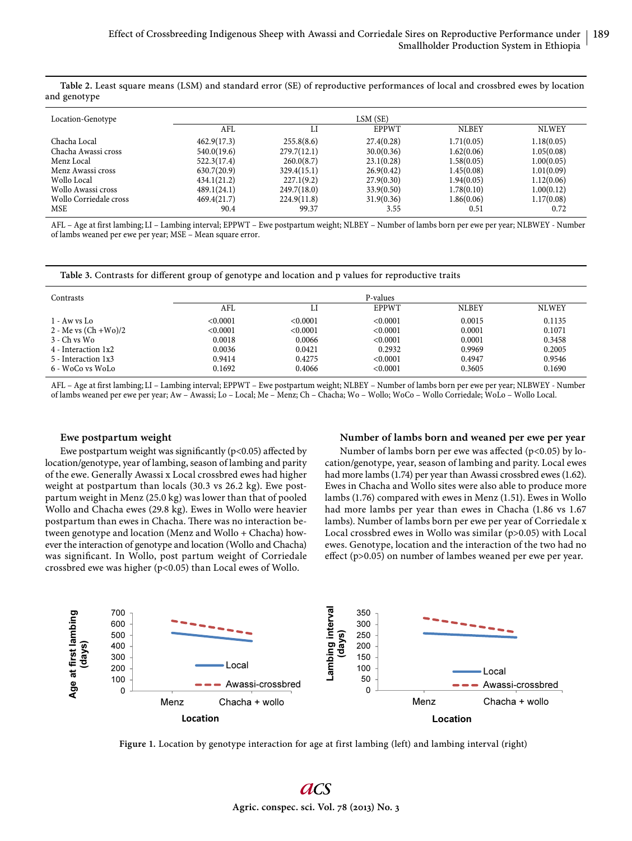**Table 2.** Least square means (LSM) and standard error (SE) of reproductive performances of local and crossbred ewes by location and genotype

| Location-Genotype      |             |             | LSM (SE)     |              |              |
|------------------------|-------------|-------------|--------------|--------------|--------------|
|                        | AFL         |             | <b>EPPWT</b> | <b>NLBEY</b> | <b>NLWEY</b> |
| Chacha Local           | 462.9(17.3) | 255.8(8.6)  | 27.4(0.28)   | 1.71(0.05)   | 1.18(0.05)   |
| Chacha Awassi cross    | 540.0(19.6) | 279.7(12.1) | 30.0(0.36)   | 1.62(0.06)   | 1.05(0.08)   |
| Menz Local             | 522.3(17.4) | 260.0(8.7)  | 23.1(0.28)   | 1.58(0.05)   | 1.00(0.05)   |
| Menz Awassi cross      | 630.7(20.9) | 329.4(15.1) | 26.9(0.42)   | 1.45(0.08)   | 1.01(0.09)   |
| Wollo Local            | 434.1(21.2) | 227.1(9.2)  | 27.9(0.30)   | 1.94(0.05)   | 1.12(0.06)   |
| Wollo Awassi cross     | 489.1(24.1) | 249.7(18.0) | 33.9(0.50)   | 1.78(0.10)   | 1.00(0.12)   |
| Wollo Corriedale cross | 469.4(21.7) | 224.9(11.8) | 31.9(0.36)   | 1.86(0.06)   | 1.17(0.08)   |
| MSE                    | 90.4        | 99.37       | 3.55         | 0.51         | 0.72         |

AFL – Age at first lambing; LI – Lambing interval; EPPWT – Ewe postpartum weight; NLBEY – Number of lambs born per ewe per year; NLBWEY - Number of lambs weaned per ewe per year; MSE – Mean square error.

Table 3. Contrasts for different group of genotype and location and p values for reproductive traits

| Contrasts               |          |          | P-values     |              |              |
|-------------------------|----------|----------|--------------|--------------|--------------|
|                         | AFL      |          | <b>EPPWT</b> | <b>NLBEY</b> | <b>NLWEY</b> |
| $1 - Aw$ vs $Lo$        | < 0.0001 | <0.0001  | < 0.0001     | 0.0015       | 0.1135       |
| 2 - Me vs $(Ch + Wo)/2$ | < 0.0001 | < 0.0001 | < 0.0001     | 0.0001       | 0.1071       |
| 3 - Ch vs Wo            | 0.0018   | 0.0066   | < 0.0001     | 0.0001       | 0.3458       |
| 4 - Interaction 1x2     | 0.0036   | 0.0421   | 0.2932       | 0.9969       | 0.2005       |
| 5 - Interaction 1x3     | 0.9414   | 0.4275   | < 0.0001     | 0.4947       | 0.9546       |
| 6 - WoCo ys WoLo        | 0.1692   | 0.4066   | < 0.0001     | 0.3605       | 0.1690       |

AFL – Age at first lambing; LI – Lambing interval; EPPWT – Ewe postpartum weight; NLBEY – Number of lambs born per ewe per year; NLBWEY - Number of lambs weaned per ewe per year; Aw – Awassi; Lo – Local; Me – Menz; Ch – Chacha; Wo – Wollo; WoCo – Wollo Corriedale; WoLo – Wollo Local.

# **Ewe postpartum weight**

Ewe postpartum weight was significantly ( $p$ <0.05) affected by location/genotype, year of lambing, season of lambing and parity of the ewe. Generally Awassi x Local crossbred ewes had higher weight at postpartum than locals (30.3 vs 26.2 kg). Ewe postpartum weight in Menz (25.0 kg) was lower than that of pooled Wollo and Chacha ewes (29.8 kg). Ewes in Wollo were heavier postpartum than ewes in Chacha. There was no interaction between genotype and location (Menz and Wollo + Chacha) however the interaction of genotype and location (Wollo and Chacha) was significant. In Wollo, post partum weight of Corriedale crossbred ewe was higher (p<0.05) than Local ewes of Wollo.

# **Number of lambs born and weaned per ewe per year**

Number of lambs born per ewe was affected ( $p$ <0.05) by location/genotype, year, season of lambing and parity. Local ewes had more lambs (1.74) per year than Awassi crossbred ewes (1.62). Ewes in Chacha and Wollo sites were also able to produce more lambs (1.76) compared with ewes in Menz (1.51). Ewes in Wollo had more lambs per year than ewes in Chacha (1.86 vs 1.67 lambs). Number of lambs born per ewe per year of Corriedale x Local crossbred ewes in Wollo was similar (p>0.05) with Local ewes. Genotype, location and the interaction of the two had no effect ( $p$ >0.05) on number of lambes weaned per ewe per year.



**Figure 1.** Location by genotype interaction for age at first lambing (left) and lambing interval (right)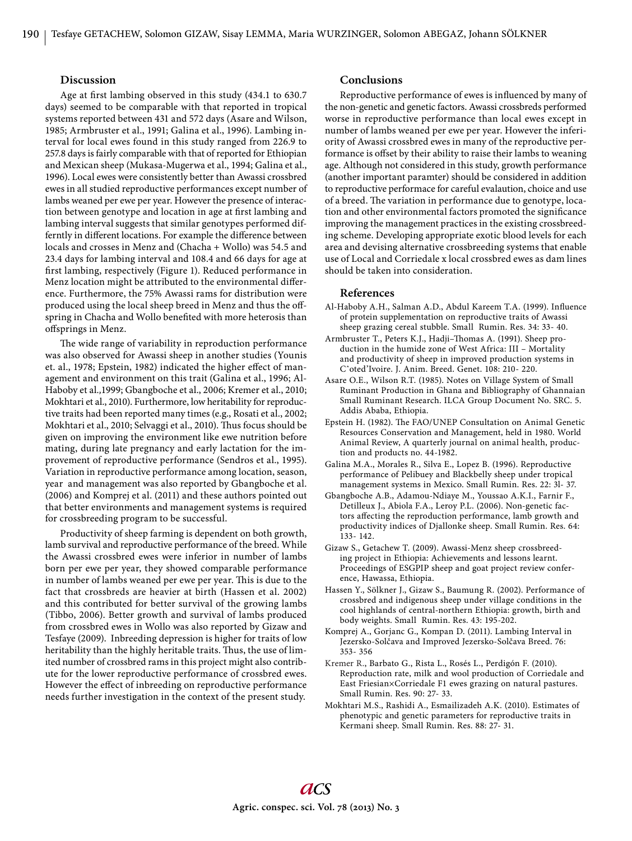## **Discussion**

Age at first lambing observed in this study (434.1 to 630.7) days) seemed to be comparable with that reported in tropical systems reported between 431 and 572 days (Asare and Wilson, 1985; Armbruster et al., 1991; Galina et al., 1996). Lambing interval for local ewes found in this study ranged from 226.9 to 257.8 days is fairly comparable with that of reported for Ethiopian and Mexican sheep (Mukasa-Mugerwa et al., 1994; Galina et al., 1996). Local ewes were consistently better than Awassi crossbred ewes in all studied reproductive performances except number of lambs weaned per ewe per year. However the presence of interaction between genotype and location in age at first lambing and lambing interval suggests that similar genotypes performed differntly in different locations. For example the difference between locals and crosses in Menz and (Chacha + Wollo) was 54.5 and 23.4 days for lambing interval and 108.4 and 66 days for age at first lambing, respectively (Figure 1). Reduced performance in Menz location might be attributed to the environmental difference. Furthermore, the 75% Awassi rams for distribution were produced using the local sheep breed in Menz and thus the off spring in Chacha and Wollo benefited with more heterosis than offsprings in Menz.

The wide range of variability in reproduction performance was also observed for Awassi sheep in another studies (Younis et. al., 1978; Epstein, 1982) indicated the higher effect of management and environment on this trait (Galina et al., 1996; Al-Haboby et al*.,*1999; Gbangboche et al., 2006; Kremer et al., 2010; Mokhtari et al., 2010). Furthermore, low heritability for reproductive traits had been reported many times (e.g., Rosati et al., 2002; Mokhtari et al., 2010; Selvaggi et al., 2010). Thus focus should be given on improving the environment like ewe nutrition before mating, during late pregnancy and early lactation for the improvement of reproductive performance (Sendros et al., 1995). Variation in reproductive performance among location, season, year and management was also reported by Gbangboche et al. (2006) and Komprej et al. (2011) and these authors pointed out that better environments and management systems is required for crossbreeding program to be successful.

Productivity of sheep farming is dependent on both growth, lamb survival and reproductive performance of the breed. While the Awassi crossbred ewes were inferior in number of lambs born per ewe per year, they showed comparable performance in number of lambs weaned per ewe per year. This is due to the fact that crossbreds are heavier at birth (Hassen et al. 2002) and this contributed for better survival of the growing lambs (Tibbo, 2006). Better growth and survival of lambs produced from crossbred ewes in Wollo was also reported by Gizaw and Tesfaye (2009). Inbreeding depression is higher for traits of low heritability than the highly heritable traits. Thus, the use of limited number of crossbred rams in this project might also contribute for the lower reproductive performance of crossbred ewes. However the effect of inbreeding on reproductive performance needs further investigation in the context of the present study.

## **Conclusions**

Reproductive performance of ewes is influenced by many of the non-genetic and genetic factors. Awassi crossbreds performed worse in reproductive performance than local ewes except in number of lambs weaned per ewe per year. However the inferiority of Awassi crossbred ewes in many of the reproductive performance is offset by their ability to raise their lambs to weaning age. Although not considered in this study, growth performance (another important paramter) should be considered in addition to reproductive performace for careful evalaution, choice and use of a breed. The variation in performance due to genotype, location and other environmental factors promoted the significance improving the management practices in the existing crossbreeding scheme. Developing appropriate exotic blood levels for each area and devising alternative crossbreeding systems that enable use of Local and Corriedale x local crossbred ewes as dam lines should be taken into consideration.

## **References**

- Al-Haboby A.H., Salman A.D., Abdul Kareem T.A. (1999). Influence of protein supplementation on reproductive traits of Awassi sheep grazing cereal stubble. Small Rumin. Res. 34: 33- 40.
- Armbruster T., Peters K.J., Hadji-Thomas A. (1991). Sheep production in the humide zone of West Africa: III – Mortality and productivity of sheep in improved production systems in Cˆoted'Ivoire. J. Anim. Breed. Genet. 108: 210- 220.
- Asare O.E., Wilson R.T. (1985). Notes on Village System of Small Ruminant Production in Ghana and Bibliography of Ghannaian Small Ruminant Research. ILCA Group Document No. SRC. 5. Addis Ababa, Ethiopia.
- Epstein H. (1982). The FAO/UNEP Consultation on Animal Genetic Resources Conservation and Management, held in 1980. World Animal Review, A quarterly journal on animal health, production and products no. 44-1982.
- Galina M.A., Morales R., Silva E., Lopez B. (1996). Reproductive performance of Pelibuey and Blackbelly sheep under tropical management systems in Mexico. Small Rumin. Res. 22: 3l- 37.
- Gbangboche A.B., Adamou-Ndiaye M., Youssao A.K.I., Farnir F., Detilleux J., Abiola F.A., Leroy P.L. (2006). Non-genetic factors affecting the reproduction performance, lamb growth and productivity indices of Djallonke sheep. Small Rumin. Res. 64: 133- 142.
- Gizaw S., Getachew T. (2009). Awassi-Menz sheep crossbreeding project in Ethiopia: Achievements and lessons learnt. Proceedings of ESGPIP sheep and goat project review conference, Hawassa, Ethiopia.
- Hassen Y., Sölkner J., Gizaw S., Baumung R. (2002). Performance of crossbred and indigenous sheep under village conditions in the cool highlands of central-northern Ethiopia: growth, birth and body weights. Small Rumin. Res. 43: 195-202.
- Komprej A., Gorjanc G., Kompan D. (2011). Lambing Interval in Jezersko-Solčava and Improved Jezersko-Solčava Breed. 76: 353- 356
- Kremer R., Barbato G., Rista L., Rosés L., Perdigón F. (2010). Reproduction rate, milk and wool production of Corriedale and East Friesian×Corriedale F1 ewes grazing on natural pastures. Small Rumin. Res. 90: 27- 33.
- Mokhtari M.S., Rashidi A., Esmailizadeh A.K. (2010). Estimates of phenotypic and genetic parameters for reproductive traits in Kermani sheep. Small Rumin. Res. 88: 27- 31.